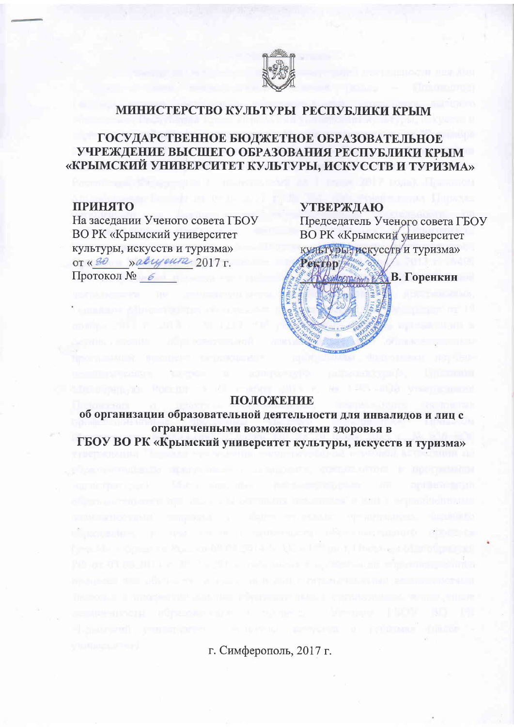

## МИНИСТЕРСТВО КУЛЬТУРЫ РЕСПУБЛИКИ КРЫМ

## ГОСУДАРСТВЕННОЕ БЮДЖЕТНОЕ ОБРАЗОВАТЕЛЬНОЕ УЧРЕЖДЕНИЕ ВЫСШЕГО ОБРАЗОВАНИЯ РЕСПУБЛИКИ КРЫМ «КРЫМСКИЙ УНИВЕРСИТЕТ КУЛЬТУРЫ, ИСКУССТВ И ТУРИЗМА»

### **ПРИНЯТО**

На заседании Ученого совета ГБОУ ВО РК «Крымский университет культуры, искусств и туризма» OT « 30 » abyour 2017 г. Протокол № 6

### **УТВЕРЖДАЮ**

Председатель Ученого совета ГБОУ ВО РК «Крымский университет культуры, искусств и туризма»



### ПОЛОЖЕНИЕ

об организации образовательной деятельности для инвалидов и лиц с ограниченными возможностями здоровья в ГБОУ ВО РК «Крымский университет культуры, искусств и туризма»

г. Симферополь, 2017 г.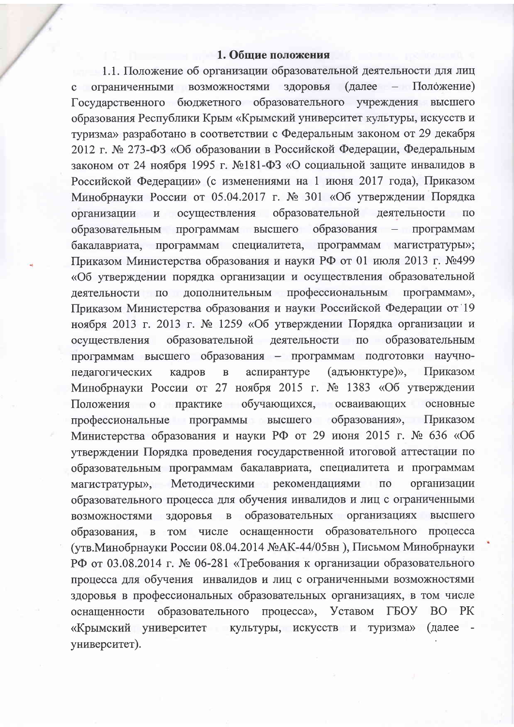### 1. Общие положения

1.1. Положение об организации образовательной деятельности для лиц ограниченными возможностями здоровья (далее - Положение) Государственного бюджетного образовательного учреждения высшего образования Республики Крым «Крымский университет культуры, искусств и туризма» разработано в соответствии с Федеральным законом от 29 декабря 2012 г. № 273-ФЗ «Об образовании в Российской Федерации, Федеральным законом от 24 ноября 1995 г. №181-ФЗ «О социальной защите инвалидов в Российской Федерации» (с изменениями на 1 июня 2017 года), Приказом Минобрнауки России от 05.04.2017 г. № 301 «Об утверждении Порядка образовательной организации и осуществления деятельности  $\Pi$ O образования образовательным программам высшего  $\rightarrow$ программам бакалавриата, программам специалитета, программам магистратуры»; Приказом Министерства образования и науки РФ от 01 июля 2013 г. №499 «Об утверждении порядка организации и осуществления образовательной деятельности по дополнительным профессиональным программам», Приказом Министерства образования и науки Российской Федерации от 19 ноября 2013 г. 2013 г. № 1259 «Об утверждении Порядка организации и осуществления образовательной деятельности по образовательным программам высшего образования - программам подготовки научнопедагогических кадров  $\overline{B}$ аспирантуре (адъюнктуре)», Приказом Минобрнауки России от 27 ноября 2015 г. № 1383 «Об утверждении Положения о практике обучающихся, осваивающих основные профессиональные программы высшего образования», Приказом Министерства образования и науки РФ от 29 июня 2015 г. № 636 «Об утверждении Порядка проведения государственной итоговой аттестации по образовательным программам бакалавриата, специалитета и программам магистратуры», Методическими рекомендациями по организации образовательного процесса для обучения инвалидов и лиц с ограниченными здоровья в образовательных организациях возможностями высшего числе оснащенности образовательного образования,  $\mathbf{B}$ **TOM** процесса (утв. Минобрнауки России 08.04.2014 №АК-44/05вн), Письмом Минобрнауки РФ от 03.08.2014 г. № 06-281 «Требования к организации образовательного процесса для обучения инвалидов и лиц с ограниченными возможностями здоровья в профессиональных образовательных организациях, в том числе оснащенности образовательного процесса», Уставом ГБОУ  $PK$ BO. «Крымский университет культуры, искусств и туризма» (далее университет).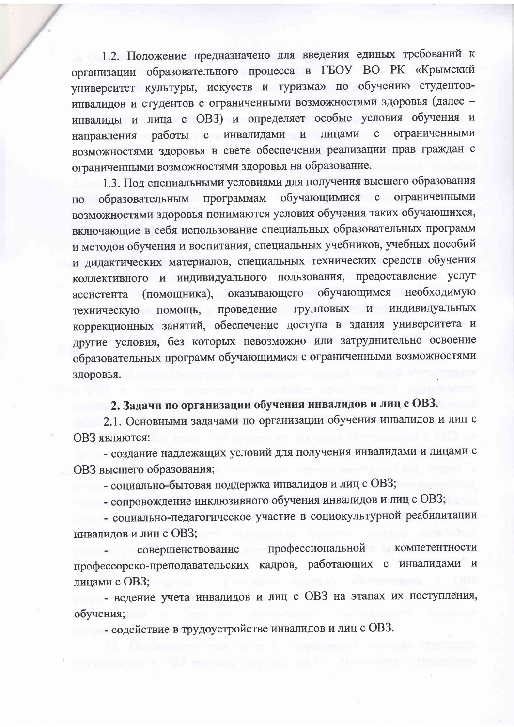1.2. Положение предназначено для введения единых требований к организации образовательного процесса в ГБОУ ВО РК «Крымский университет культуры, искусств и туризма» по обучению студентовинвалидов и студентов с ограниченными возможностями здоровья (далее инвалиды и лица с ОВЗ) и определяет особые условия обучения и направления работы с инвалидами и лицами с ограниченными возможностями здоровья в свете обеспечения реализации прав граждан с ограниченными возможностями здоровья на образование.

1.3. Под специальными условиями для получения высшего образования обучающимися с ограниченными программам по образовательным возможностями здоровья понимаются условия обучения таких обучающихся, включающие в себя использование специальных образовательных программ и методов обучения и воспитания, специальных учебников, учебных пособий и дидактических материалов, специальных технических средств обучения коллективного и индивидуального пользования, предоставление услуг обучающимся необходимую ассистента (помощника), оказывающего индивидуальных техническую помощь, проведение групповых  $\overline{\mathbf{M}}$ коррекционных занятий, обеспечение доступа в здания университета и другие условия, без которых невозможно или затруднительно освоение образовательных программ обучающимися с ограниченными возможностями здоровья.

# 2. Задачи по организации обучения инвалидов и лиц с ОВЗ.

2.1. Основными задачами по организации обучения инвалидов и лиц с ОВЗ являются:

- создание надлежащих условий для получения инвалидами и лицами с ОВЗ высшего образования;

- социально-бытовая поддержка инвалидов и лиц с ОВЗ;

- сопровождение инклюзивного обучения инвалидов и лиц с ОВЗ;

- социально-педагогическое участие в социокультурной реабилитации инвалидов и лиц с ОВЗ;

совершенствование профессиональной компетентности профессорско-преподавательских кадров, работающих с инвалидами и лицами с ОВЗ;

- ведение учета инвалидов и лиц с ОВЗ на этапах их поступления, обучения;

- содействие в трудоустройстве инвалидов и лиц с ОВЗ.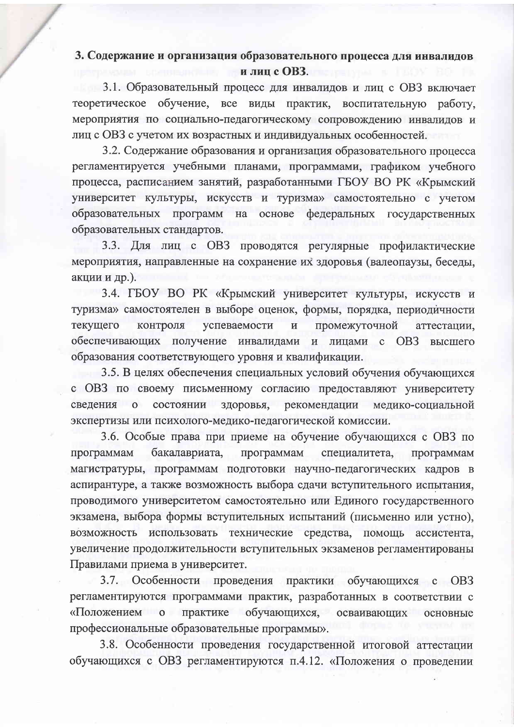## 3. Содержание и организация образовательного процесса для инвалидов и лиц с ОВЗ.

3.1. Образовательный процесс для инвалидов и лиц с ОВЗ включает теоретическое обучение, все виды практик, воспитательную работу, мероприятия по социально-педагогическому сопровождению инвалидов и лиц с ОВЗ с учетом их возрастных и индивидуальных особенностей.

3.2. Содержание образования и организация образовательного процесса регламентируется учебными планами, программами, графиком учебного процесса, расписанием занятий, разработанными ГБОУ ВО РК «Крымский университет культуры, искусств и туризма» самостоятельно с учетом образовательных программ на основе федеральных государственных образовательных стандартов.

3.3. Для лиц с ОВЗ проводятся регулярные профилактические мероприятия, направленные на сохранение их здоровья (валеопаузы, беседы, акции и др.).

3.4. ГБОУ ВО РК «Крымский университет культуры, искусств и туризма» самостоятелен в выборе оценок, формы, порядка, периодичности контроля успеваемости текущего  $\overline{\mathbf{M}}$ промежуточной аттестации, обеспечивающих получение инвалидами  $\,$   $\,$   $\,$   $\,$ лицами OB<sub>3</sub>  $\mathbf{C}$ высшего образования соответствующего уровня и квалификации.

3.5. В целях обеспечения специальных условий обучения обучающихся с ОВЗ по своему письменному согласию предоставляют университету сведения о состоянии здоровья, рекомендации медико-социальной экспертизы или психолого-медико-педагогической комиссии.

3.6. Особые права при приеме на обучение обучающихся с ОВЗ по программам бакалавриата, программам специалитета, программам магистратуры, программам подготовки научно-педагогических кадров в аспирантуре, а также возможность выбора сдачи вступительного испытания, проводимого университетом самостоятельно или Единого государственного экзамена, выбора формы вступительных испытаний (письменно или устно), возможность использовать технические средства, ПОМОЩЬ ассистента, увеличение продолжительности вступительных экзаменов регламентированы Правилами приема в университет.

 $3.7.$ Особенности проведения практики обучающихся с ОВЗ регламентируются программами практик, разработанных в соответствии с «Положением о практике обучающихся, осваивающих основные профессиональные образовательные программы».

3.8. Особенности проведения государственной итоговой аттестации обучающихся с ОВЗ регламентируются п.4.12. «Положения о проведении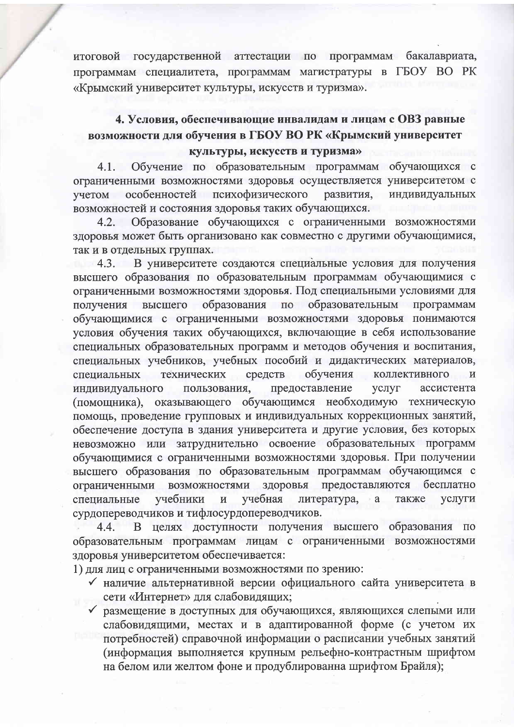итоговой государственной аттестации по программам бакалавриата, программам специалитета, программам магистратуры в ГБОУ ВО РК «Крымский университет культуры, искусств и туризма».

# 4. Условия, обеспечивающие инвалидам и лицам с ОВЗ равные возможности для обучения в ГБОУ ВО РК «Крымский университет культуры, искусств и туризма»

Обучение по образовательным программам обучающихся с  $4.1.$ ограниченными возможностями здоровья осуществляется университетом с особенностей психофизического учетом развития, индивидуальных возможностей и состояния здоровья таких обучающихся.

Образование обучающихся с ограниченными возможностями  $4.2.$ здоровья может быть организовано как совместно с другими обучающимися, так и в отдельных группах.

4.3. В университете создаются специальные условия для получения высшего образования по образовательным программам обучающимися с ограниченными возможностями здоровья. Под специальными условиями для высшего образования по образовательным программам получения обучающимися с ограниченными возможностями здоровья понимаются условия обучения таких обучающихся, включающие в себя использование специальных образовательных программ и методов обучения и воспитания, специальных учебников, учебных пособий и дидактических материалов, обучения технических средств коллективного  $\mathbf{M}$ специальных индивидуального пользования, предоставление услуг ассистента (помощника), оказывающего обучающимся необходимую техническую помощь, проведение групповых и индивидуальных коррекционных занятий, обеспечение доступа в здания университета и другие условия, без которых невозможно или затруднительно освоение образовательных программ обучающимися с ограниченными возможностями здоровья. При получении высшего образования по образовательным программам обучающимся с предоставляются бесплатно ограниченными возможностями здоровья учебники учебная литература, a также услуги специальные  $\,$  M сурдопереводчиков и тифлосурдопереводчиков.

целях доступности получения высшего образования по  $4.4.$  $\mathbf{B}$ образовательным программам лицам с ограниченными возможностями здоровья университетом обеспечивается:

1) для лиц с ограниченными возможностями по зрению:

- √ наличие альтернативной версии официального сайта университета в сети «Интернет» для слабовидящих;
- √ размещение в доступных для обучающихся, являющихся слепыми или слабовидящими, местах и в адаптированной форме (с учетом их потребностей) справочной информации о расписании учебных занятий (информация выполняется крупным рельефно-контрастным шрифтом на белом или желтом фоне и продублированна шрифтом Брайля);